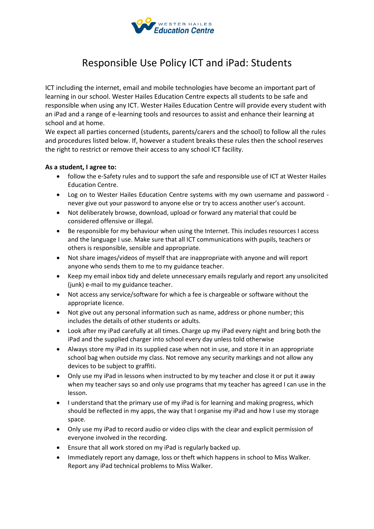

## Responsible Use Policy ICT and iPad: Students

ICT including the internet, email and mobile technologies have become an important part of learning in our school. Wester Hailes Education Centre expects all students to be safe and responsible when using any ICT. Wester Hailes Education Centre will provide every student with an iPad and a range of e-learning tools and resources to assist and enhance their learning at school and at home.

We expect all parties concerned (students, parents/carers and the school) to follow all the rules and procedures listed below. If, however a student breaks these rules then the school reserves the right to restrict or remove their access to any school ICT facility.

## **As a student, I agree to:**

- follow the e-Safety rules and to support the safe and responsible use of ICT at Wester Hailes Education Centre.
- Log on to Wester Hailes Education Centre systems with my own username and password never give out your password to anyone else or try to access another user's account.
- Not deliberately browse, download, upload or forward any material that could be considered offensive or illegal.
- Be responsible for my behaviour when using the Internet. This includes resources I access and the language I use. Make sure that all ICT communications with pupils, teachers or others is responsible, sensible and appropriate.
- Not share images/videos of myself that are inappropriate with anyone and will report anyone who sends them to me to my guidance teacher.
- Keep my email inbox tidy and delete unnecessary emails regularly and report any unsolicited (junk) e-mail to my guidance teacher.
- Not access any service/software for which a fee is chargeable or software without the appropriate licence.
- Not give out any personal information such as name, address or phone number; this includes the details of other students or adults.
- Look after my iPad carefully at all times. Charge up my iPad every night and bring both the iPad and the supplied charger into school every day unless told otherwise
- Always store my iPad in its supplied case when not in use, and store it in an appropriate school bag when outside my class. Not remove any security markings and not allow any devices to be subject to graffiti.
- Only use my iPad in lessons when instructed to by my teacher and close it or put it away when my teacher says so and only use programs that my teacher has agreed I can use in the lesson.
- I understand that the primary use of my iPad is for learning and making progress, which should be reflected in my apps, the way that I organise my iPad and how I use my storage space.
- Only use my iPad to record audio or video clips with the clear and explicit permission of everyone involved in the recording.
- Ensure that all work stored on my iPad is regularly backed up.
- Immediately report any damage, loss or theft which happens in school to Miss Walker. Report any iPad technical problems to Miss Walker.